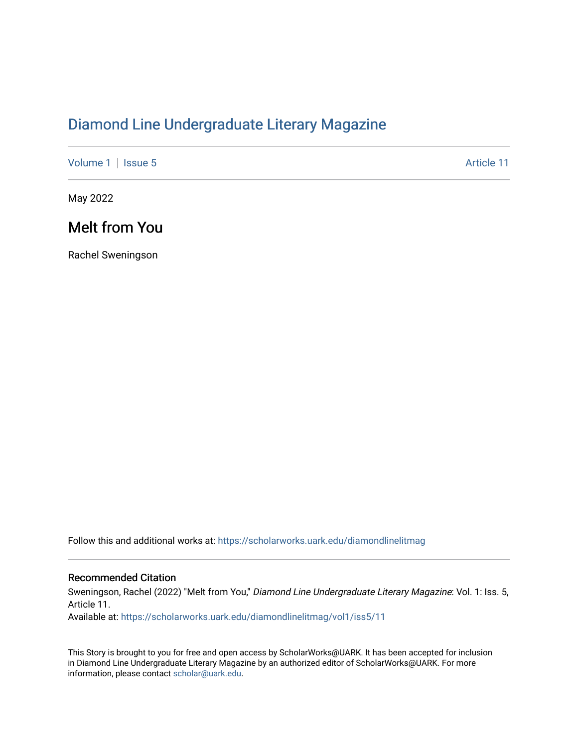## [Diamond Line Undergraduate Literary Magazine](https://scholarworks.uark.edu/diamondlinelitmag)

[Volume 1](https://scholarworks.uark.edu/diamondlinelitmag/vol1) | [Issue 5](https://scholarworks.uark.edu/diamondlinelitmag/vol1/iss5) Article 11

May 2022

## Melt from You

Rachel Sweningson

Follow this and additional works at: [https://scholarworks.uark.edu/diamondlinelitmag](https://scholarworks.uark.edu/diamondlinelitmag?utm_source=scholarworks.uark.edu%2Fdiamondlinelitmag%2Fvol1%2Fiss5%2F11&utm_medium=PDF&utm_campaign=PDFCoverPages) 

## Recommended Citation

Sweningson, Rachel (2022) "Melt from You," Diamond Line Undergraduate Literary Magazine: Vol. 1: Iss. 5, Article 11.

Available at: [https://scholarworks.uark.edu/diamondlinelitmag/vol1/iss5/11](https://scholarworks.uark.edu/diamondlinelitmag/vol1/iss5/11?utm_source=scholarworks.uark.edu%2Fdiamondlinelitmag%2Fvol1%2Fiss5%2F11&utm_medium=PDF&utm_campaign=PDFCoverPages) 

This Story is brought to you for free and open access by ScholarWorks@UARK. It has been accepted for inclusion in Diamond Line Undergraduate Literary Magazine by an authorized editor of ScholarWorks@UARK. For more information, please contact [scholar@uark.edu.](mailto:scholar@uark.edu)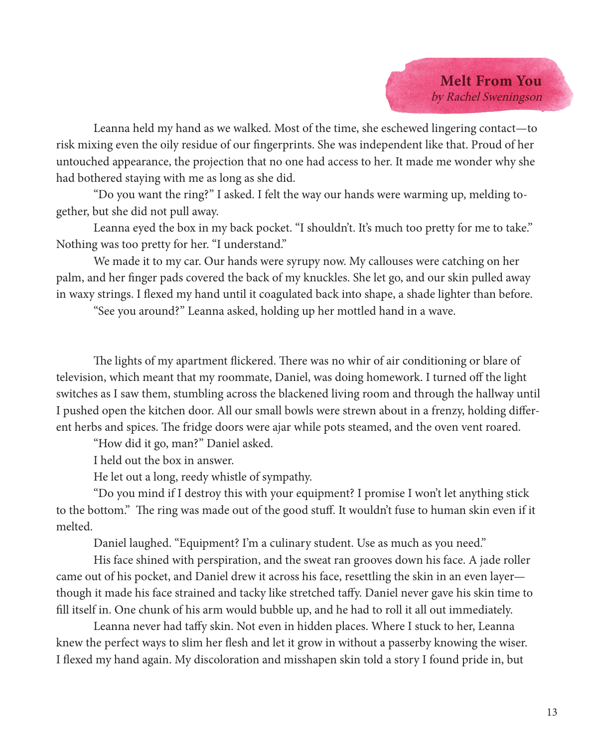

Leanna held my hand as we walked. Most of the time, she eschewed lingering contact—to risk mixing even the oily residue of our fingerprints. She was independent like that. Proud of her untouched appearance, the projection that no one had access to her. It made me wonder why she had bothered staying with me as long as she did.

"Do you want the ring?" I asked. I felt the way our hands were warming up, melding together, but she did not pull away.

Leanna eyed the box in my back pocket. "I shouldn't. It's much too pretty for me to take." Nothing was too pretty for her. "I understand."

We made it to my car. Our hands were syrupy now. My callouses were catching on her palm, and her finger pads covered the back of my knuckles. She let go, and our skin pulled away in waxy strings. I flexed my hand until it coagulated back into shape, a shade lighter than before.

"See you around?" Leanna asked, holding up her mottled hand in a wave.

The lights of my apartment flickered. There was no whir of air conditioning or blare of television, which meant that my roommate, Daniel, was doing homework. I turned off the light switches as I saw them, stumbling across the blackened living room and through the hallway until I pushed open the kitchen door. All our small bowls were strewn about in a frenzy, holding different herbs and spices. The fridge doors were ajar while pots steamed, and the oven vent roared.

"How did it go, man?" Daniel asked.

I held out the box in answer.

He let out a long, reedy whistle of sympathy.

"Do you mind if I destroy this with your equipment? I promise I won't let anything stick to the bottom." The ring was made out of the good stuff. It wouldn't fuse to human skin even if it melted.

Daniel laughed. "Equipment? I'm a culinary student. Use as much as you need."

His face shined with perspiration, and the sweat ran grooves down his face. A jade roller came out of his pocket, and Daniel drew it across his face, resettling the skin in an even layer though it made his face strained and tacky like stretched taffy. Daniel never gave his skin time to fill itself in. One chunk of his arm would bubble up, and he had to roll it all out immediately.

Leanna never had taffy skin. Not even in hidden places. Where I stuck to her, Leanna knew the perfect ways to slim her flesh and let it grow in without a passerby knowing the wiser. I flexed my hand again. My discoloration and misshapen skin told a story I found pride in, but